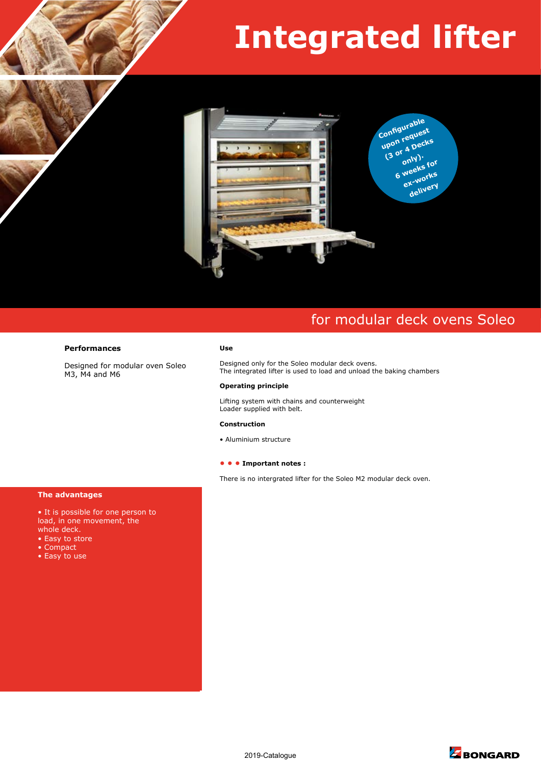# **Integrated lifter**



## for modular deck ovens Soleo

#### **Use**

Designed only for the Soleo modular deck ovens. The integrated lifter is used to load and unload the baking chambers

#### **Operating principle**

Lifting system with chains and counterweight Loader supplied with belt.

#### **Construction**

• Aluminium structure

#### **• • • Important notes :**

There is no intergrated lifter for the Soleo M2 modular deck oven.

#### **The advantages**

• It is possible for one person to load, in one movement, the whole deck.

**Performances** 

M3, M4 and M6

Designed for modular oven Soleo

- Easy to store
- Compact
- Easy to use